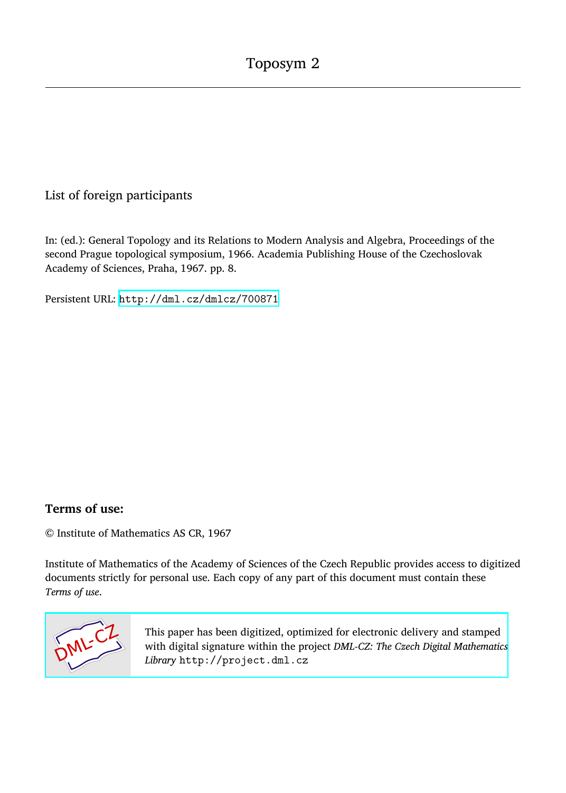## List of foreign participants

In: (ed.): General Topology and its Relations to Modern Analysis and Algebra, Proceedings of the second Prague topological symposium, 1966. Academia Publishing House of the Czechoslovak Academy of Sciences, Praha, 1967. pp. 8.

Persistent URL: <http://dml.cz/dmlcz/700871>

## **Terms of use:**

© Institute of Mathematics AS CR, 1967

Institute of Mathematics of the Academy of Sciences of the Czech Republic provides access to digitized documents strictly for personal use. Each copy of any part of this document must contain these *Terms of use*.



[This paper has been digitized, optimized for electronic delivery and stamped](http://project.dml.cz) with digital signature within the project *DML-CZ: The Czech Digital Mathematics Library* http://project.dml.cz